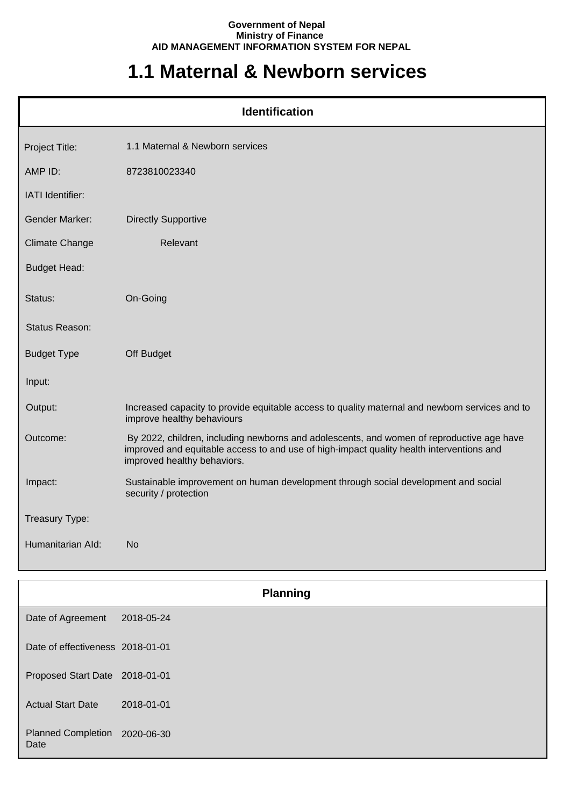## **Government of Nepal Ministry of Finance AID MANAGEMENT INFORMATION SYSTEM FOR NEPAL**

## **1.1 Maternal & Newborn services**

| <b>Identification</b> |                                                                                                                                                                                                                      |  |
|-----------------------|----------------------------------------------------------------------------------------------------------------------------------------------------------------------------------------------------------------------|--|
| Project Title:        | 1.1 Maternal & Newborn services                                                                                                                                                                                      |  |
| AMP ID:               | 8723810023340                                                                                                                                                                                                        |  |
| IATI Identifier:      |                                                                                                                                                                                                                      |  |
| <b>Gender Marker:</b> | <b>Directly Supportive</b>                                                                                                                                                                                           |  |
| <b>Climate Change</b> | Relevant                                                                                                                                                                                                             |  |
| <b>Budget Head:</b>   |                                                                                                                                                                                                                      |  |
| Status:               | On-Going                                                                                                                                                                                                             |  |
| Status Reason:        |                                                                                                                                                                                                                      |  |
| <b>Budget Type</b>    | Off Budget                                                                                                                                                                                                           |  |
| Input:                |                                                                                                                                                                                                                      |  |
| Output:               | Increased capacity to provide equitable access to quality maternal and newborn services and to<br>improve healthy behaviours                                                                                         |  |
| Outcome:              | By 2022, children, including newborns and adolescents, and women of reproductive age have<br>improved and equitable access to and use of high-impact quality health interventions and<br>improved healthy behaviors. |  |
| Impact:               | Sustainable improvement on human development through social development and social<br>security / protection                                                                                                          |  |
| Treasury Type:        |                                                                                                                                                                                                                      |  |
| Humanitarian Ald:     | <b>No</b>                                                                                                                                                                                                            |  |

|                                   | <b>Planning</b> |  |
|-----------------------------------|-----------------|--|
| Date of Agreement                 | 2018-05-24      |  |
| Date of effectiveness 2018-01-01  |                 |  |
| Proposed Start Date 2018-01-01    |                 |  |
| <b>Actual Start Date</b>          | 2018-01-01      |  |
| <b>Planned Completion</b><br>Date | 2020-06-30      |  |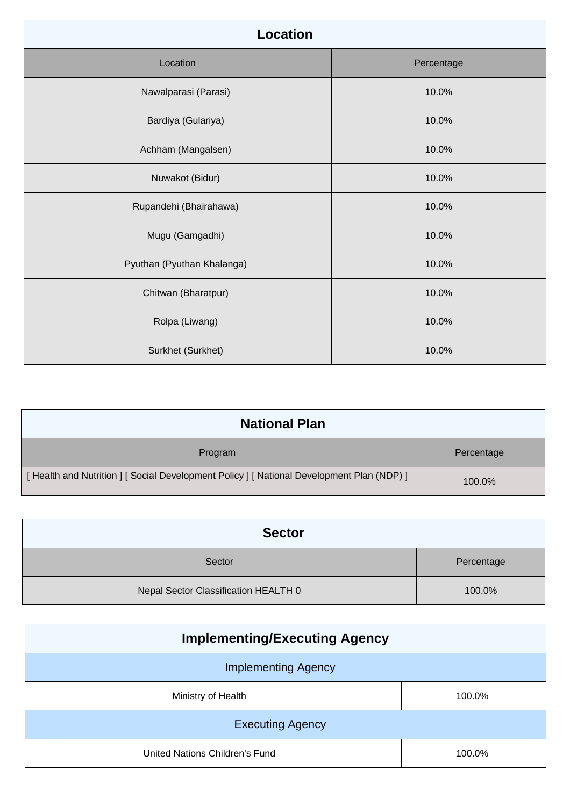| <b>Location</b>            |            |  |
|----------------------------|------------|--|
| Location                   | Percentage |  |
| Nawalparasi (Parasi)       | 10.0%      |  |
| Bardiya (Gulariya)         | 10.0%      |  |
| Achham (Mangalsen)         | 10.0%      |  |
| Nuwakot (Bidur)            | 10.0%      |  |
| Rupandehi (Bhairahawa)     | 10.0%      |  |
| Mugu (Gamgadhi)            | 10.0%      |  |
| Pyuthan (Pyuthan Khalanga) | 10.0%      |  |
| Chitwan (Bharatpur)        | 10.0%      |  |
| Rolpa (Liwang)             | 10.0%      |  |
| Surkhet (Surkhet)          | 10.0%      |  |

| <b>National Plan</b>                                                                    |            |
|-----------------------------------------------------------------------------------------|------------|
| Program                                                                                 | Percentage |
| [Health and Nutrition ] [Social Development Policy ] [National Development Plan (NDP) ] | 100.0%     |

| <b>Sector</b>                        |            |
|--------------------------------------|------------|
| Sector                               | Percentage |
| Nepal Sector Classification HEALTH 0 | 100.0%     |

| <b>Implementing/Executing Agency</b> |        |  |
|--------------------------------------|--------|--|
| <b>Implementing Agency</b>           |        |  |
| Ministry of Health                   | 100.0% |  |
| <b>Executing Agency</b>              |        |  |
| United Nations Children's Fund       | 100.0% |  |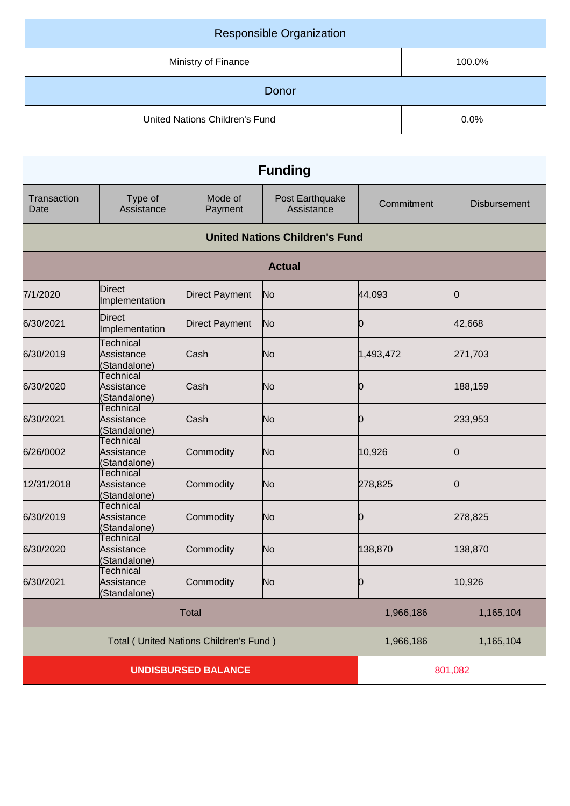| <b>Responsible Organization</b> |        |
|---------------------------------|--------|
| Ministry of Finance             | 100.0% |
| Donor                           |        |
| United Nations Children's Fund  | 0.0%   |

| <b>Funding</b>                         |                                                |                       |                                       |            |                     |
|----------------------------------------|------------------------------------------------|-----------------------|---------------------------------------|------------|---------------------|
| Transaction<br>Date                    | Type of<br>Assistance                          | Mode of<br>Payment    | Post Earthquake<br>Assistance         | Commitment | <b>Disbursement</b> |
|                                        |                                                |                       | <b>United Nations Children's Fund</b> |            |                     |
|                                        |                                                |                       | <b>Actual</b>                         |            |                     |
| 7/1/2020                               | <b>Direct</b><br>Implementation                | <b>Direct Payment</b> | No                                    | 44,093     | Ю                   |
| 6/30/2021                              | <b>Direct</b><br>Implementation                | <b>Direct Payment</b> | No                                    | O          | 42,668              |
| 6/30/2019                              | <b>Technical</b><br>Assistance<br>(Standalone) | Cash                  | No                                    | 1,493,472  | 271,703             |
| 6/30/2020                              | Technical<br>Assistance<br>Standalone)         | Cash                  | No                                    | Ю          | 188,159             |
| 6/30/2021                              | <b>Technical</b><br>Assistance<br>(Standalone) | Cash                  | No                                    | 0          | 233,953             |
| 6/26/0002                              | Technical<br>Assistance<br>(Standalone)        | Commodity             | No                                    | 10,926     | O                   |
| 12/31/2018                             | Technical<br>Assistance<br>Standalone)         | Commodity             | No                                    | 278,825    | O                   |
| 6/30/2019                              | <b>Technical</b><br>Assistance<br>(Standalone) | Commodity             | No                                    | Ю          | 278,825             |
| 6/30/2020                              | <b>Technical</b><br>Assistance<br>(Standalone) | Commodity             | No                                    | 138,870    | 138,870             |
| 6/30/2021                              | <b>Technical</b><br>Assistance<br>(Standalone) | Commodity             | No                                    | Ю          | 10,926              |
| <b>Total</b>                           |                                                |                       | 1,966,186                             | 1,165,104  |                     |
| Total (United Nations Children's Fund) |                                                | 1,966,186             | 1,165,104                             |            |                     |
| <b>UNDISBURSED BALANCE</b>             |                                                |                       |                                       | 801,082    |                     |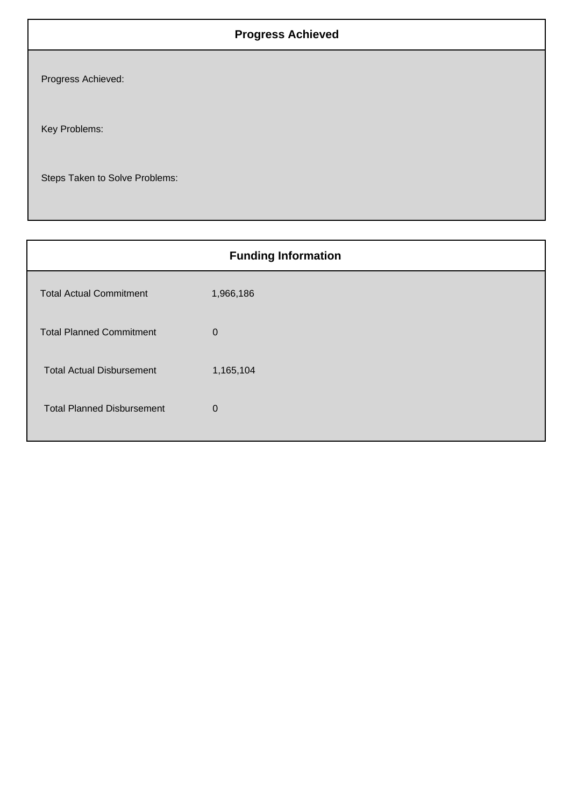## **Progress Achieved**

Progress Achieved:

Key Problems:

Steps Taken to Solve Problems:

| <b>Funding Information</b>        |             |  |
|-----------------------------------|-------------|--|
| <b>Total Actual Commitment</b>    | 1,966,186   |  |
| <b>Total Planned Commitment</b>   | $\mathbf 0$ |  |
| <b>Total Actual Disbursement</b>  | 1,165,104   |  |
| <b>Total Planned Disbursement</b> | $\mathbf 0$ |  |
|                                   |             |  |